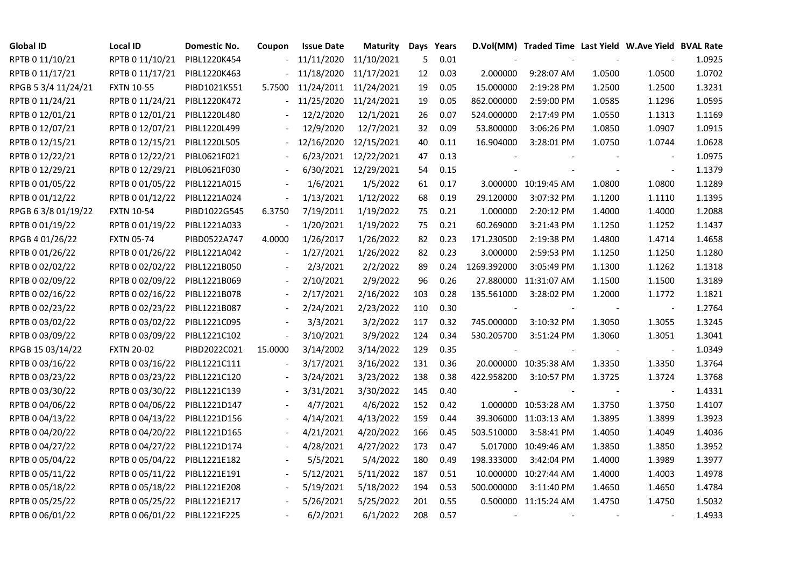| <b>Global ID</b>    | Local ID                     | Domestic No. | Coupon                   | <b>Issue Date</b> | <b>Maturity</b>       | Days Years |      |                          | D.Vol(MM) Traded Time Last Yield W.Ave Yield BVAL Rate |        |                |        |
|---------------------|------------------------------|--------------|--------------------------|-------------------|-----------------------|------------|------|--------------------------|--------------------------------------------------------|--------|----------------|--------|
| RPTB 0 11/10/21     | RPTB 0 11/10/21              | PIBL1220K454 |                          | 11/11/2020        | 11/10/2021            | 5          | 0.01 |                          |                                                        |        |                | 1.0925 |
| RPTB 0 11/17/21     | RPTB 0 11/17/21              | PIBL1220K463 |                          | 11/18/2020        | 11/17/2021            | 12         | 0.03 | 2.000000                 | 9:28:07 AM                                             | 1.0500 | 1.0500         | 1.0702 |
| RPGB 5 3/4 11/24/21 | <b>FXTN 10-55</b>            | PIBD1021K551 | 5.7500                   |                   | 11/24/2011 11/24/2021 | 19         | 0.05 | 15.000000                | 2:19:28 PM                                             | 1.2500 | 1.2500         | 1.3231 |
| RPTB 0 11/24/21     | RPTB 0 11/24/21              | PIBL1220K472 | $\overline{\phantom{0}}$ | 11/25/2020        | 11/24/2021            | 19         | 0.05 | 862.000000               | 2:59:00 PM                                             | 1.0585 | 1.1296         | 1.0595 |
| RPTB 0 12/01/21     | RPTB 0 12/01/21              | PIBL1220L480 |                          | 12/2/2020         | 12/1/2021             | 26         | 0.07 | 524.000000               | 2:17:49 PM                                             | 1.0550 | 1.1313         | 1.1169 |
| RPTB 0 12/07/21     | RPTB 0 12/07/21              | PIBL1220L499 |                          | 12/9/2020         | 12/7/2021             | 32         | 0.09 | 53.800000                | 3:06:26 PM                                             | 1.0850 | 1.0907         | 1.0915 |
| RPTB 0 12/15/21     | RPTB 0 12/15/21              | PIBL1220L505 |                          | 12/16/2020        | 12/15/2021            | 40         | 0.11 | 16.904000                | 3:28:01 PM                                             | 1.0750 | 1.0744         | 1.0628 |
| RPTB 0 12/22/21     | RPTB 0 12/22/21              | PIBL0621F021 |                          |                   | 6/23/2021 12/22/2021  | 47         | 0.13 |                          |                                                        |        |                | 1.0975 |
| RPTB 0 12/29/21     | RPTB 0 12/29/21              | PIBL0621F030 |                          |                   | 6/30/2021 12/29/2021  | 54         | 0.15 |                          |                                                        |        |                | 1.1379 |
| RPTB 0 01/05/22     | RPTB 0 01/05/22              | PIBL1221A015 | $\overline{\phantom{a}}$ | 1/6/2021          | 1/5/2022              | 61         | 0.17 |                          | 3.000000 10:19:45 AM                                   | 1.0800 | 1.0800         | 1.1289 |
| RPTB 0 01/12/22     | RPTB 0 01/12/22              | PIBL1221A024 | $\overline{\phantom{a}}$ | 1/13/2021         | 1/12/2022             | 68         | 0.19 | 29.120000                | 3:07:32 PM                                             | 1.1200 | 1.1110         | 1.1395 |
| RPGB 63/8 01/19/22  | <b>FXTN 10-54</b>            | PIBD1022G545 | 6.3750                   | 7/19/2011         | 1/19/2022             | 75         | 0.21 | 1.000000                 | 2:20:12 PM                                             | 1.4000 | 1.4000         | 1.2088 |
| RPTB 0 01/19/22     | RPTB 0 01/19/22              | PIBL1221A033 |                          | 1/20/2021         | 1/19/2022             | 75         | 0.21 | 60.269000                | 3:21:43 PM                                             | 1.1250 | 1.1252         | 1.1437 |
| RPGB 4 01/26/22     | <b>FXTN 05-74</b>            | PIBD0522A747 | 4.0000                   | 1/26/2017         | 1/26/2022             | 82         | 0.23 | 171.230500               | 2:19:38 PM                                             | 1.4800 | 1.4714         | 1.4658 |
| RPTB 0 01/26/22     | RPTB 0 01/26/22              | PIBL1221A042 |                          | 1/27/2021         | 1/26/2022             | 82         | 0.23 | 3.000000                 | 2:59:53 PM                                             | 1.1250 | 1.1250         | 1.1280 |
| RPTB 0 02/02/22     | RPTB 0 02/02/22              | PIBL1221B050 |                          | 2/3/2021          | 2/2/2022              | 89         | 0.24 | 1269.392000              | 3:05:49 PM                                             | 1.1300 | 1.1262         | 1.1318 |
| RPTB 0 02/09/22     | RPTB 0 02/09/22              | PIBL1221B069 |                          | 2/10/2021         | 2/9/2022              | 96         | 0.26 |                          | 27.880000 11:31:07 AM                                  | 1.1500 | 1.1500         | 1.3189 |
| RPTB 0 02/16/22     | RPTB 0 02/16/22              | PIBL1221B078 | $\overline{\phantom{a}}$ | 2/17/2021         | 2/16/2022             | 103        | 0.28 | 135.561000               | 3:28:02 PM                                             | 1.2000 | 1.1772         | 1.1821 |
| RPTB 0 02/23/22     | RPTB 0 02/23/22              | PIBL1221B087 |                          | 2/24/2021         | 2/23/2022             | 110        | 0.30 |                          |                                                        |        | $\blacksquare$ | 1.2764 |
| RPTB 0 03/02/22     | RPTB 0 03/02/22              | PIBL1221C095 |                          | 3/3/2021          | 3/2/2022              | 117        | 0.32 | 745.000000               | 3:10:32 PM                                             | 1.3050 | 1.3055         | 1.3245 |
| RPTB 0 03/09/22     | RPTB 0 03/09/22              | PIBL1221C102 | $\overline{\phantom{a}}$ | 3/10/2021         | 3/9/2022              | 124        | 0.34 | 530.205700               | 3:51:24 PM                                             | 1.3060 | 1.3051         | 1.3041 |
| RPGB 15 03/14/22    | <b>FXTN 20-02</b>            | PIBD2022C021 | 15.0000                  | 3/14/2002         | 3/14/2022             | 129        | 0.35 |                          |                                                        |        | $\blacksquare$ | 1.0349 |
| RPTB 0 03/16/22     | RPTB 0 03/16/22              | PIBL1221C111 |                          | 3/17/2021         | 3/16/2022             | 131        | 0.36 |                          | 20.000000 10:35:38 AM                                  | 1.3350 | 1.3350         | 1.3764 |
| RPTB 0 03/23/22     | RPTB 0 03/23/22              | PIBL1221C120 |                          | 3/24/2021         | 3/23/2022             | 138        | 0.38 | 422.958200               | 3:10:57 PM                                             | 1.3725 | 1.3724         | 1.3768 |
| RPTB 0 03/30/22     | RPTB 0 03/30/22              | PIBL1221C139 |                          | 3/31/2021         | 3/30/2022             | 145        | 0.40 |                          |                                                        |        |                | 1.4331 |
| RPTB 0 04/06/22     | RPTB 0 04/06/22              | PIBL1221D147 |                          | 4/7/2021          | 4/6/2022              | 152        | 0.42 |                          | 1.000000 10:53:28 AM                                   | 1.3750 | 1.3750         | 1.4107 |
| RPTB 0 04/13/22     | RPTB 0 04/13/22              | PIBL1221D156 |                          | 4/14/2021         | 4/13/2022             | 159        | 0.44 |                          | 39.306000 11:03:13 AM                                  | 1.3895 | 1.3899         | 1.3923 |
| RPTB 0 04/20/22     | RPTB 0 04/20/22              | PIBL1221D165 |                          | 4/21/2021         | 4/20/2022             | 166        | 0.45 | 503.510000               | 3:58:41 PM                                             | 1.4050 | 1.4049         | 1.4036 |
| RPTB 0 04/27/22     | RPTB 0 04/27/22              | PIBL1221D174 |                          | 4/28/2021         | 4/27/2022             | 173        | 0.47 |                          | 5.017000 10:49:46 AM                                   | 1.3850 | 1.3850         | 1.3952 |
| RPTB 0 05/04/22     | RPTB 0 05/04/22              | PIBL1221E182 |                          | 5/5/2021          | 5/4/2022              | 180        | 0.49 | 198.333000               | 3:42:04 PM                                             | 1.4000 | 1.3989         | 1.3977 |
| RPTB 0 05/11/22     | RPTB 0 05/11/22              | PIBL1221E191 |                          | 5/12/2021         | 5/11/2022             | 187        | 0.51 |                          | 10.000000 10:27:44 AM                                  | 1.4000 | 1.4003         | 1.4978 |
| RPTB 0 05/18/22     | RPTB 0 05/18/22              | PIBL1221E208 |                          | 5/19/2021         | 5/18/2022             | 194        | 0.53 | 500.000000               | 3:11:40 PM                                             | 1.4650 | 1.4650         | 1.4784 |
| RPTB 0 05/25/22     | RPTB 0 05/25/22              | PIBL1221E217 |                          | 5/26/2021         | 5/25/2022             | 201        | 0.55 |                          | 0.500000 11:15:24 AM                                   | 1.4750 | 1.4750         | 1.5032 |
| RPTB 0 06/01/22     | RPTB 0 06/01/22 PIBL1221F225 |              |                          | 6/2/2021          | 6/1/2022              | 208        | 0.57 | $\overline{\phantom{a}}$ |                                                        |        |                | 1.4933 |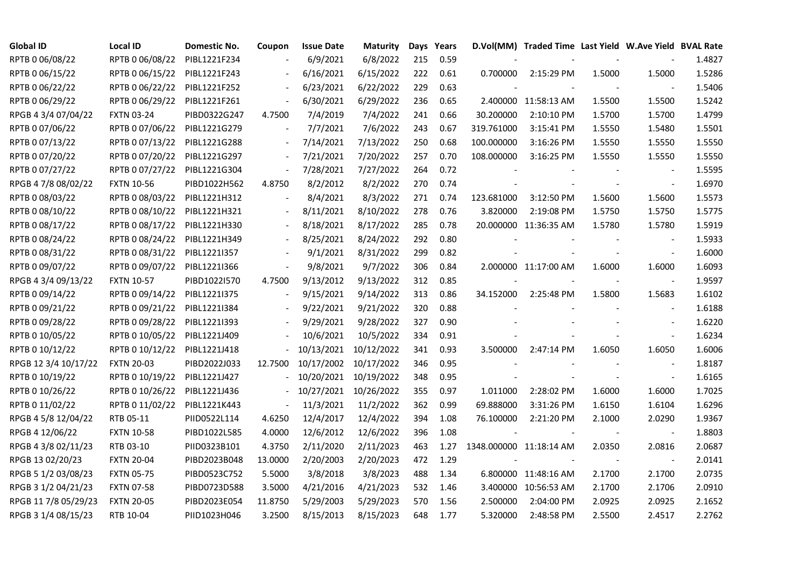| <b>Global ID</b>     | <b>Local ID</b>   | Domestic No. | Coupon                       | <b>Issue Date</b> | <b>Maturity</b> |     | Days Years |                         | D.Vol(MM) Traded Time Last Yield W.Ave Yield BVAL Rate |        |                          |        |
|----------------------|-------------------|--------------|------------------------------|-------------------|-----------------|-----|------------|-------------------------|--------------------------------------------------------|--------|--------------------------|--------|
| RPTB 0 06/08/22      | RPTB 0 06/08/22   | PIBL1221F234 |                              | 6/9/2021          | 6/8/2022        | 215 | 0.59       |                         |                                                        |        |                          | 1.4827 |
| RPTB 0 06/15/22      | RPTB 0 06/15/22   | PIBL1221F243 |                              | 6/16/2021         | 6/15/2022       | 222 | 0.61       | 0.700000                | 2:15:29 PM                                             | 1.5000 | 1.5000                   | 1.5286 |
| RPTB 0 06/22/22      | RPTB 0 06/22/22   | PIBL1221F252 | $\overline{\phantom{a}}$     | 6/23/2021         | 6/22/2022       | 229 | 0.63       |                         |                                                        |        |                          | 1.5406 |
| RPTB 0 06/29/22      | RPTB 0 06/29/22   | PIBL1221F261 | $\overline{\phantom{a}}$     | 6/30/2021         | 6/29/2022       | 236 | 0.65       |                         | 2.400000 11:58:13 AM                                   | 1.5500 | 1.5500                   | 1.5242 |
| RPGB 4 3/4 07/04/22  | <b>FXTN 03-24</b> | PIBD0322G247 | 4.7500                       | 7/4/2019          | 7/4/2022        | 241 | 0.66       | 30.200000               | 2:10:10 PM                                             | 1.5700 | 1.5700                   | 1.4799 |
| RPTB 0 07/06/22      | RPTB 0 07/06/22   | PIBL1221G279 |                              | 7/7/2021          | 7/6/2022        | 243 | 0.67       | 319.761000              | 3:15:41 PM                                             | 1.5550 | 1.5480                   | 1.5501 |
| RPTB 0 07/13/22      | RPTB 0 07/13/22   | PIBL1221G288 | $\blacksquare$               | 7/14/2021         | 7/13/2022       | 250 | 0.68       | 100.000000              | 3:16:26 PM                                             | 1.5550 | 1.5550                   | 1.5550 |
| RPTB 0 07/20/22      | RPTB 0 07/20/22   | PIBL1221G297 |                              | 7/21/2021         | 7/20/2022       | 257 | 0.70       | 108.000000              | 3:16:25 PM                                             | 1.5550 | 1.5550                   | 1.5550 |
| RPTB 0 07/27/22      | RPTB 0 07/27/22   | PIBL1221G304 | $\qquad \qquad \blacksquare$ | 7/28/2021         | 7/27/2022       | 264 | 0.72       |                         |                                                        |        |                          | 1.5595 |
| RPGB 4 7/8 08/02/22  | <b>FXTN 10-56</b> | PIBD1022H562 | 4.8750                       | 8/2/2012          | 8/2/2022        | 270 | 0.74       |                         |                                                        |        |                          | 1.6970 |
| RPTB 0 08/03/22      | RPTB 0 08/03/22   | PIBL1221H312 | $\overline{\phantom{a}}$     | 8/4/2021          | 8/3/2022        | 271 | 0.74       | 123.681000              | 3:12:50 PM                                             | 1.5600 | 1.5600                   | 1.5573 |
| RPTB 0 08/10/22      | RPTB 0 08/10/22   | PIBL1221H321 | $\overline{\phantom{a}}$     | 8/11/2021         | 8/10/2022       | 278 | 0.76       | 3.820000                | 2:19:08 PM                                             | 1.5750 | 1.5750                   | 1.5775 |
| RPTB 0 08/17/22      | RPTB 0 08/17/22   | PIBL1221H330 |                              | 8/18/2021         | 8/17/2022       | 285 | 0.78       |                         | 20.000000 11:36:35 AM                                  | 1.5780 | 1.5780                   | 1.5919 |
| RPTB 0 08/24/22      | RPTB 0 08/24/22   | PIBL1221H349 | $\blacksquare$               | 8/25/2021         | 8/24/2022       | 292 | 0.80       |                         |                                                        |        | $\overline{\phantom{a}}$ | 1.5933 |
| RPTB 0 08/31/22      | RPTB 0 08/31/22   | PIBL1221I357 |                              | 9/1/2021          | 8/31/2022       | 299 | 0.82       |                         |                                                        |        | $\overline{\phantom{a}}$ | 1.6000 |
| RPTB 0 09/07/22      | RPTB 0 09/07/22   | PIBL1221I366 |                              | 9/8/2021          | 9/7/2022        | 306 | 0.84       |                         | 2.000000 11:17:00 AM                                   | 1.6000 | 1.6000                   | 1.6093 |
| RPGB 4 3/4 09/13/22  | <b>FXTN 10-57</b> | PIBD1022I570 | 4.7500                       | 9/13/2012         | 9/13/2022       | 312 | 0.85       |                         |                                                        |        |                          | 1.9597 |
| RPTB 0 09/14/22      | RPTB 0 09/14/22   | PIBL1221I375 | $\blacksquare$               | 9/15/2021         | 9/14/2022       | 313 | 0.86       | 34.152000               | 2:25:48 PM                                             | 1.5800 | 1.5683                   | 1.6102 |
| RPTB 0 09/21/22      | RPTB 0 09/21/22   | PIBL1221I384 |                              | 9/22/2021         | 9/21/2022       | 320 | 0.88       |                         |                                                        |        |                          | 1.6188 |
| RPTB 0 09/28/22      | RPTB 0 09/28/22   | PIBL1221I393 |                              | 9/29/2021         | 9/28/2022       | 327 | 0.90       |                         |                                                        |        | $\blacksquare$           | 1.6220 |
| RPTB 0 10/05/22      | RPTB 0 10/05/22   | PIBL1221J409 |                              | 10/6/2021         | 10/5/2022       | 334 | 0.91       |                         |                                                        |        | $\overline{\phantom{a}}$ | 1.6234 |
| RPTB 0 10/12/22      | RPTB 0 10/12/22   | PIBL1221J418 |                              | 10/13/2021        | 10/12/2022      | 341 | 0.93       | 3.500000                | 2:47:14 PM                                             | 1.6050 | 1.6050                   | 1.6006 |
| RPGB 12 3/4 10/17/22 | <b>FXTN 20-03</b> | PIBD2022J033 | 12.7500                      | 10/17/2002        | 10/17/2022      | 346 | 0.95       |                         |                                                        |        |                          | 1.8187 |
| RPTB 0 10/19/22      | RPTB 0 10/19/22   | PIBL1221J427 |                              | 10/20/2021        | 10/19/2022      | 348 | 0.95       |                         |                                                        |        |                          | 1.6165 |
| RPTB 0 10/26/22      | RPTB 0 10/26/22   | PIBL1221J436 | $\overline{\phantom{a}}$     | 10/27/2021        | 10/26/2022      | 355 | 0.97       | 1.011000                | 2:28:02 PM                                             | 1.6000 | 1.6000                   | 1.7025 |
| RPTB 0 11/02/22      | RPTB 0 11/02/22   | PIBL1221K443 | $\blacksquare$               | 11/3/2021         | 11/2/2022       | 362 | 0.99       | 69.888000               | 3:31:26 PM                                             | 1.6150 | 1.6104                   | 1.6296 |
| RPGB 4 5/8 12/04/22  | RTB 05-11         | PIID0522L114 | 4.6250                       | 12/4/2017         | 12/4/2022       | 394 | 1.08       | 76.100000               | 2:21:20 PM                                             | 2.1000 | 2.0290                   | 1.9367 |
| RPGB 4 12/06/22      | <b>FXTN 10-58</b> | PIBD1022L585 | 4.0000                       | 12/6/2012         | 12/6/2022       | 396 | 1.08       | $\sim$                  |                                                        |        | $\overline{\phantom{a}}$ | 1.8803 |
| RPGB 4 3/8 02/11/23  | RTB 03-10         | PIID0323B101 | 4.3750                       | 2/11/2020         | 2/11/2023       | 463 | 1.27       | 1348.000000 11:18:14 AM |                                                        | 2.0350 | 2.0816                   | 2.0687 |
| RPGB 13 02/20/23     | <b>FXTN 20-04</b> | PIBD2023B048 | 13.0000                      | 2/20/2003         | 2/20/2023       | 472 | 1.29       |                         |                                                        |        |                          | 2.0141 |
| RPGB 5 1/2 03/08/23  | <b>FXTN 05-75</b> | PIBD0523C752 | 5.5000                       | 3/8/2018          | 3/8/2023        | 488 | 1.34       |                         | 6.800000 11:48:16 AM                                   | 2.1700 | 2.1700                   | 2.0735 |
| RPGB 3 1/2 04/21/23  | <b>FXTN 07-58</b> | PIBD0723D588 | 3.5000                       | 4/21/2016         | 4/21/2023       | 532 | 1.46       |                         | 3.400000 10:56:53 AM                                   | 2.1700 | 2.1706                   | 2.0910 |
| RPGB 11 7/8 05/29/23 | <b>FXTN 20-05</b> | PIBD2023E054 | 11.8750                      | 5/29/2003         | 5/29/2023       | 570 | 1.56       | 2.500000                | 2:04:00 PM                                             | 2.0925 | 2.0925                   | 2.1652 |
| RPGB 3 1/4 08/15/23  | RTB 10-04         | PIID1023H046 | 3.2500                       | 8/15/2013         | 8/15/2023       | 648 | 1.77       | 5.320000                | 2:48:58 PM                                             | 2.5500 | 2.4517                   | 2.2762 |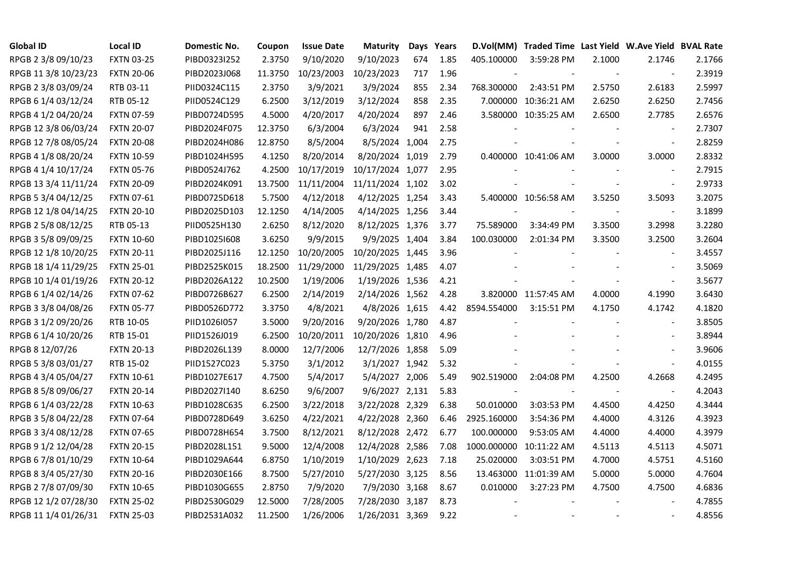| <b>Global ID</b>     | <b>Local ID</b>   | Domestic No. | Coupon  | <b>Issue Date</b> | <b>Maturity</b>  |     | Days Years |             | D.Vol(MM) Traded Time Last Yield W.Ave Yield BVAL Rate |        |                          |        |
|----------------------|-------------------|--------------|---------|-------------------|------------------|-----|------------|-------------|--------------------------------------------------------|--------|--------------------------|--------|
| RPGB 2 3/8 09/10/23  | <b>FXTN 03-25</b> | PIBD0323I252 | 2.3750  | 9/10/2020         | 9/10/2023        | 674 | 1.85       | 405.100000  | 3:59:28 PM                                             | 2.1000 | 2.1746                   | 2.1766 |
| RPGB 11 3/8 10/23/23 | <b>FXTN 20-06</b> | PIBD2023J068 | 11.3750 | 10/23/2003        | 10/23/2023       | 717 | 1.96       |             |                                                        |        |                          | 2.3919 |
| RPGB 2 3/8 03/09/24  | RTB 03-11         | PIID0324C115 | 2.3750  | 3/9/2021          | 3/9/2024         | 855 | 2.34       | 768.300000  | 2:43:51 PM                                             | 2.5750 | 2.6183                   | 2.5997 |
| RPGB 6 1/4 03/12/24  | RTB 05-12         | PIID0524C129 | 6.2500  | 3/12/2019         | 3/12/2024        | 858 | 2.35       |             | 7.000000 10:36:21 AM                                   | 2.6250 | 2.6250                   | 2.7456 |
| RPGB 4 1/2 04/20/24  | <b>FXTN 07-59</b> | PIBD0724D595 | 4.5000  | 4/20/2017         | 4/20/2024        | 897 | 2.46       |             | 3.580000 10:35:25 AM                                   | 2.6500 | 2.7785                   | 2.6576 |
| RPGB 12 3/8 06/03/24 | <b>FXTN 20-07</b> | PIBD2024F075 | 12.3750 | 6/3/2004          | 6/3/2024         | 941 | 2.58       |             |                                                        |        | $\overline{\phantom{a}}$ | 2.7307 |
| RPGB 12 7/8 08/05/24 | <b>FXTN 20-08</b> | PIBD2024H086 | 12.8750 | 8/5/2004          | 8/5/2024 1,004   |     | 2.75       |             |                                                        |        | $\blacksquare$           | 2.8259 |
| RPGB 4 1/8 08/20/24  | <b>FXTN 10-59</b> | PIBD1024H595 | 4.1250  | 8/20/2014         | 8/20/2024 1,019  |     | 2.79       |             | 0.400000 10:41:06 AM                                   | 3.0000 | 3.0000                   | 2.8332 |
| RPGB 4 1/4 10/17/24  | <b>FXTN 05-76</b> | PIBD0524J762 | 4.2500  | 10/17/2019        | 10/17/2024 1,077 |     | 2.95       |             |                                                        |        |                          | 2.7915 |
| RPGB 13 3/4 11/11/24 | <b>FXTN 20-09</b> | PIBD2024K091 | 13.7500 | 11/11/2004        | 11/11/2024 1,102 |     | 3.02       |             |                                                        |        | $\blacksquare$           | 2.9733 |
| RPGB 5 3/4 04/12/25  | <b>FXTN 07-61</b> | PIBD0725D618 | 5.7500  | 4/12/2018         | 4/12/2025 1,254  |     | 3.43       |             | 5.400000 10:56:58 AM                                   | 3.5250 | 3.5093                   | 3.2075 |
| RPGB 12 1/8 04/14/25 | <b>FXTN 20-10</b> | PIBD2025D103 | 12.1250 | 4/14/2005         | 4/14/2025 1,256  |     | 3.44       |             |                                                        |        | $\blacksquare$           | 3.1899 |
| RPGB 2 5/8 08/12/25  | RTB 05-13         | PIID0525H130 | 2.6250  | 8/12/2020         | 8/12/2025 1,376  |     | 3.77       | 75.589000   | 3:34:49 PM                                             | 3.3500 | 3.2998                   | 3.2280 |
| RPGB 3 5/8 09/09/25  | <b>FXTN 10-60</b> | PIBD10251608 | 3.6250  | 9/9/2015          | 9/9/2025 1,404   |     | 3.84       | 100.030000  | 2:01:34 PM                                             | 3.3500 | 3.2500                   | 3.2604 |
| RPGB 12 1/8 10/20/25 | <b>FXTN 20-11</b> | PIBD2025J116 | 12.1250 | 10/20/2005        | 10/20/2025 1,445 |     | 3.96       |             |                                                        |        |                          | 3.4557 |
| RPGB 18 1/4 11/29/25 | <b>FXTN 25-01</b> | PIBD2525K015 | 18.2500 | 11/29/2000        | 11/29/2025 1,485 |     | 4.07       |             |                                                        |        |                          | 3.5069 |
| RPGB 10 1/4 01/19/26 | <b>FXTN 20-12</b> | PIBD2026A122 | 10.2500 | 1/19/2006         | 1/19/2026 1,536  |     | 4.21       |             |                                                        |        | $\blacksquare$           | 3.5677 |
| RPGB 6 1/4 02/14/26  | <b>FXTN 07-62</b> | PIBD0726B627 | 6.2500  | 2/14/2019         | 2/14/2026 1,562  |     | 4.28       |             | 3.820000 11:57:45 AM                                   | 4.0000 | 4.1990                   | 3.6430 |
| RPGB 3 3/8 04/08/26  | <b>FXTN 05-77</b> | PIBD0526D772 | 3.3750  | 4/8/2021          | 4/8/2026 1,615   |     | 4.42       | 8594.554000 | 3:15:51 PM                                             | 4.1750 | 4.1742                   | 4.1820 |
| RPGB 3 1/2 09/20/26  | RTB 10-05         | PIID1026I057 | 3.5000  | 9/20/2016         | 9/20/2026 1,780  |     | 4.87       |             |                                                        |        | $\overline{\phantom{a}}$ | 3.8505 |
| RPGB 6 1/4 10/20/26  | RTB 15-01         | PIID1526J019 | 6.2500  | 10/20/2011        | 10/20/2026 1,810 |     | 4.96       |             |                                                        |        | $\mathbf{r}$             | 3.8944 |
| RPGB 8 12/07/26      | <b>FXTN 20-13</b> | PIBD2026L139 | 8.0000  | 12/7/2006         | 12/7/2026 1,858  |     | 5.09       |             |                                                        |        | $\sim$                   | 3.9606 |
| RPGB 5 3/8 03/01/27  | RTB 15-02         | PIID1527C023 | 5.3750  | 3/1/2012          | 3/1/2027 1,942   |     | 5.32       |             |                                                        |        | $\overline{\phantom{a}}$ | 4.0155 |
| RPGB 4 3/4 05/04/27  | <b>FXTN 10-61</b> | PIBD1027E617 | 4.7500  | 5/4/2017          | 5/4/2027 2,006   |     | 5.49       | 902.519000  | 2:04:08 PM                                             | 4.2500 | 4.2668                   | 4.2495 |
| RPGB 8 5/8 09/06/27  | <b>FXTN 20-14</b> | PIBD2027I140 | 8.6250  | 9/6/2007          | 9/6/2027 2,131   |     | 5.83       |             |                                                        |        | $\blacksquare$           | 4.2043 |
| RPGB 6 1/4 03/22/28  | <b>FXTN 10-63</b> | PIBD1028C635 | 6.2500  | 3/22/2018         | 3/22/2028 2,329  |     | 6.38       | 50.010000   | 3:03:53 PM                                             | 4.4500 | 4.4250                   | 4.3444 |
| RPGB 3 5/8 04/22/28  | <b>FXTN 07-64</b> | PIBD0728D649 | 3.6250  | 4/22/2021         | 4/22/2028 2,360  |     | 6.46       | 2925.160000 | 3:54:36 PM                                             | 4.4000 | 4.3126                   | 4.3923 |
| RPGB 3 3/4 08/12/28  | <b>FXTN 07-65</b> | PIBD0728H654 | 3.7500  | 8/12/2021         | 8/12/2028 2,472  |     | 6.77       | 100.000000  | 9:53:05 AM                                             | 4.4000 | 4.4000                   | 4.3979 |
| RPGB 9 1/2 12/04/28  | <b>FXTN 20-15</b> | PIBD2028L151 | 9.5000  | 12/4/2008         | 12/4/2028 2,586  |     | 7.08       | 1000.000000 | 10:11:22 AM                                            | 4.5113 | 4.5113                   | 4.5071 |
| RPGB 67/8 01/10/29   | <b>FXTN 10-64</b> | PIBD1029A644 | 6.8750  | 1/10/2019         | 1/10/2029 2,623  |     | 7.18       | 25.020000   | 3:03:51 PM                                             | 4.7000 | 4.5751                   | 4.5160 |
| RPGB 8 3/4 05/27/30  | <b>FXTN 20-16</b> | PIBD2030E166 | 8.7500  | 5/27/2010         | 5/27/2030 3,125  |     | 8.56       |             | 13.463000 11:01:39 AM                                  | 5.0000 | 5.0000                   | 4.7604 |
| RPGB 2 7/8 07/09/30  | <b>FXTN 10-65</b> | PIBD1030G655 | 2.8750  | 7/9/2020          | 7/9/2030 3,168   |     | 8.67       | 0.010000    | 3:27:23 PM                                             | 4.7500 | 4.7500                   | 4.6836 |
| RPGB 12 1/2 07/28/30 | <b>FXTN 25-02</b> | PIBD2530G029 | 12.5000 | 7/28/2005         | 7/28/2030 3,187  |     | 8.73       |             |                                                        |        |                          | 4.7855 |
| RPGB 11 1/4 01/26/31 | <b>FXTN 25-03</b> | PIBD2531A032 | 11.2500 | 1/26/2006         | 1/26/2031 3,369  |     | 9.22       |             |                                                        |        | $\mathbf{r}$             | 4.8556 |